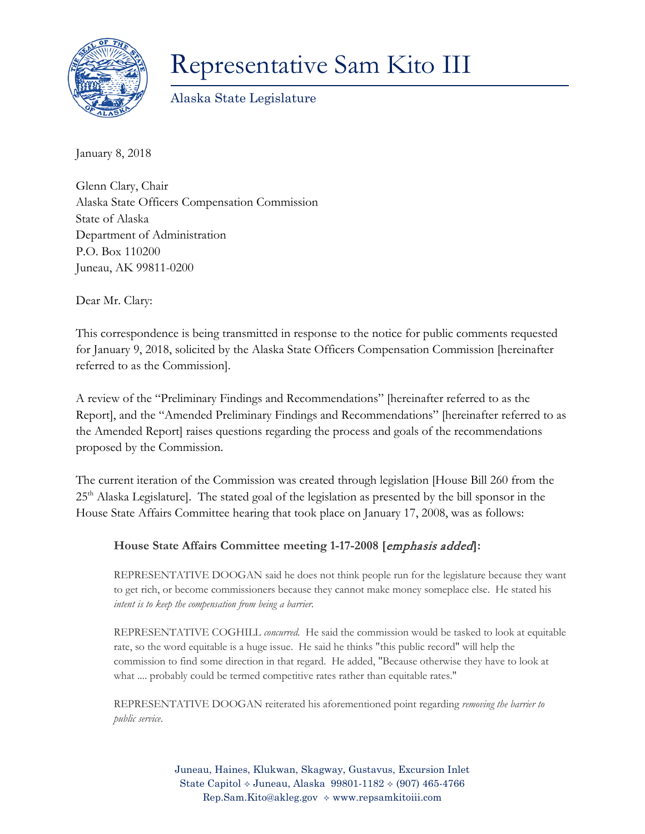

## Representative Sam Kito III

Alaska State Legislature

January 8, 2018

Glenn Clary, Chair Alaska State Officers Compensation Commission State of Alaska Department of Administration P.O. Box 110200 Juneau, AK 99811-0200

Dear Mr. Clary:

This correspondence is being transmitted in response to the notice for public comments requested for January 9, 2018, solicited by the Alaska State Officers Compensation Commission [hereinafter referred to as the Commission].

A review of the "Preliminary Findings and Recommendations" [hereinafter referred to as the Report], and the "Amended Preliminary Findings and Recommendations" [hereinafter referred to as the Amended Report] raises questions regarding the process and goals of the recommendations proposed by the Commission.

The current iteration of the Commission was created through legislation [House Bill 260 from the 25<sup>th</sup> Alaska Legislature]. The stated goal of the legislation as presented by the bill sponsor in the House State Affairs Committee hearing that took place on January 17, 2008, was as follows:

## **House State Affairs Committee meeting 1-17-2008 [**emphasis added**]:**

REPRESENTATIVE DOOGAN said he does not think people run for the legislature because they want to get rich, or become commissioners because they cannot make money someplace else. He stated his *intent is to keep the compensation from being a barrier.*

REPRESENTATIVE COGHILL *concurred.* He said the commission would be tasked to look at equitable rate, so the word equitable is a huge issue. He said he thinks "this public record" will help the commission to find some direction in that regard. He added, "Because otherwise they have to look at what .... probably could be termed competitive rates rather than equitable rates."

REPRESENTATIVE DOOGAN reiterated his aforementioned point regarding *removing the barrier to public service*.

> Juneau, Haines, Klukwan, Skagway, Gustavus, Excursion Inlet State Capitol  $\div$  Juneau, Alaska 99801-1182  $\div$  (907) 465-4766 Rep.Sam.Kito@akleg.gov www.repsamkitoiii.com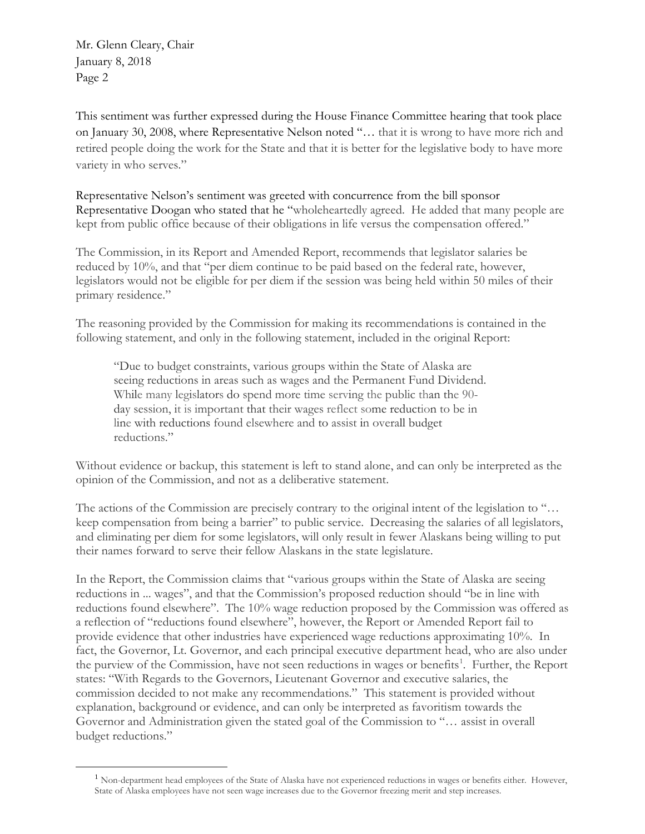Mr. Glenn Cleary, Chair January 8, 2018 Page 2

<span id="page-1-0"></span> $\overline{a}$ 

This sentiment was further expressed during the House Finance Committee hearing that took place on January 30, 2008, where Representative Nelson noted "… that it is wrong to have more rich and retired people doing the work for the State and that it is better for the legislative body to have more variety in who serves."

Representative Nelson's sentiment was greeted with concurrence from the bill sponsor Representative Doogan who stated that he "wholeheartedly agreed. He added that many people are kept from public office because of their obligations in life versus the compensation offered."

The Commission, in its Report and Amended Report, recommends that legislator salaries be reduced by 10%, and that "per diem continue to be paid based on the federal rate, however, legislators would not be eligible for per diem if the session was being held within 50 miles of their primary residence."

The reasoning provided by the Commission for making its recommendations is contained in the following statement, and only in the following statement, included in the original Report:

"Due to budget constraints, various groups within the State of Alaska are seeing reductions in areas such as wages and the Permanent Fund Dividend. While many legislators do spend more time serving the public than the 90 day session, it is important that their wages reflect some reduction to be in line with reductions found elsewhere and to assist in overall budget reductions."

Without evidence or backup, this statement is left to stand alone, and can only be interpreted as the opinion of the Commission, and not as a deliberative statement.

The actions of the Commission are precisely contrary to the original intent of the legislation to "... keep compensation from being a barrier" to public service. Decreasing the salaries of all legislators, and eliminating per diem for some legislators, will only result in fewer Alaskans being willing to put their names forward to serve their fellow Alaskans in the state legislature.

In the Report, the Commission claims that "various groups within the State of Alaska are seeing reductions in ... wages", and that the Commission's proposed reduction should "be in line with reductions found elsewhere". The 10% wage reduction proposed by the Commission was offered as a reflection of "reductions found elsewhere", however, the Report or Amended Report fail to provide evidence that other industries have experienced wage reductions approximating 10%. In fact, the Governor, Lt. Governor, and each principal executive department head, who are also under the purview of the Commission, have not seen reductions in wages or benefits<sup>[1](#page-1-0)</sup>. Further, the Report states: "With Regards to the Governors, Lieutenant Governor and executive salaries, the commission decided to not make any recommendations." This statement is provided without explanation, background or evidence, and can only be interpreted as favoritism towards the Governor and Administration given the stated goal of the Commission to "… assist in overall budget reductions."

<sup>&</sup>lt;sup>1</sup> Non-department head employees of the State of Alaska have not experienced reductions in wages or benefits either. However, State of Alaska employees have not seen wage increases due to the Governor freezing merit and step increases.